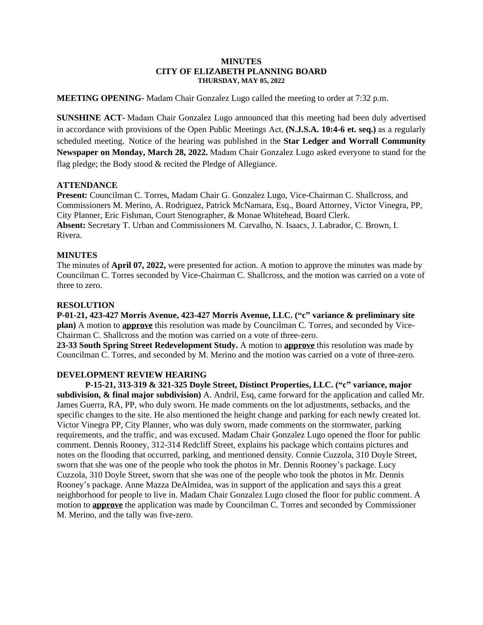#### **MINUTES CITY OF ELIZABETH PLANNING BOARD THURSDAY, MAY 05, 2022**

**MEETING OPENING**- Madam Chair Gonzalez Lugo called the meeting to order at 7:32 p.m.

**SUNSHINE ACT-** Madam Chair Gonzalez Lugo announced that this meeting had been duly advertised in accordance with provisions of the Open Public Meetings Act, **(N.J.S.A. 10:4-6 et. seq.)** as a regularly scheduled meeting. Notice of the hearing was published in the **Star Ledger and Worrall Community Newspaper on Monday, March 28, 2022.** Madam Chair Gonzalez Lugo asked everyone to stand for the flag pledge; the Body stood & recited the Pledge of Allegiance.

#### **ATTENDANCE**

**Present:** Councilman C. Torres, Madam Chair G. Gonzalez Lugo, Vice-Chairman C. Shallcross, and Commissioners M. Merino, A. Rodriguez, Patrick McNamara, Esq., Board Attorney, Victor Vinegra, PP, City Planner, Eric Fishman, Court Stenographer, & Monae Whitehead, Board Clerk. **Absent:** Secretary T. Urban and Commissioners M. Carvalho, N. Isaacs, J. Labrador, C. Brown, I. Rivera.

### **MINUTES**

The minutes of **April 07, 2022,** were presented for action. A motion to approve the minutes was made by Councilman C. Torres seconded by Vice-Chairman C. Shallcross, and the motion was carried on a vote of three to zero.

## **RESOLUTION**

**P-01-21, 423-427 Morris Avenue, 423-427 Morris Avenue, LLC. ("c" variance & preliminary site plan)** A motion to **approve** this resolution was made by Councilman C. Torres, and seconded by Vice-Chairman C. Shallcross and the motion was carried on a vote of three-zero.

**23-33 South Spring Street Redevelopment Study.** A motion to **approve** this resolution was made by Councilman C. Torres, and seconded by M. Merino and the motion was carried on a vote of three-zero.

# **DEVELOPMENT REVIEW HEARING**

**P-15-21, 313-319 & 321-325 Doyle Street, Distinct Properties, LLC. ("c" variance, major subdivision, & final major subdivision)** A. Andril, Esq, came forward for the application and called Mr. James Guerra, RA, PP, who duly sworn. He made comments on the lot adjustments, setbacks, and the specific changes to the site. He also mentioned the height change and parking for each newly created lot. Victor Vinegra PP, City Planner, who was duly sworn, made comments on the stormwater, parking requirements, and the traffic, and was excused. Madam Chair Gonzalez Lugo opened the floor for public comment. Dennis Rooney, 312-314 Redcliff Street, explains his package which contains pictures and notes on the flooding that occurred, parking, and mentioned density. Connie Cuzzola, 310 Doyle Street, sworn that she was one of the people who took the photos in Mr. Dennis Rooney's package. Lucy Cuzzola, 310 Doyle Street, sworn that she was one of the people who took the photos in Mr. Dennis Rooney's package. Anne Mazza DeAlmidea, was in support of the application and says this a great neighborhood for people to live in. Madam Chair Gonzalez Lugo closed the floor for public comment. A motion to **approve** the application was made by Councilman C. Torres and seconded by Commissioner M. Merino, and the tally was five-zero.